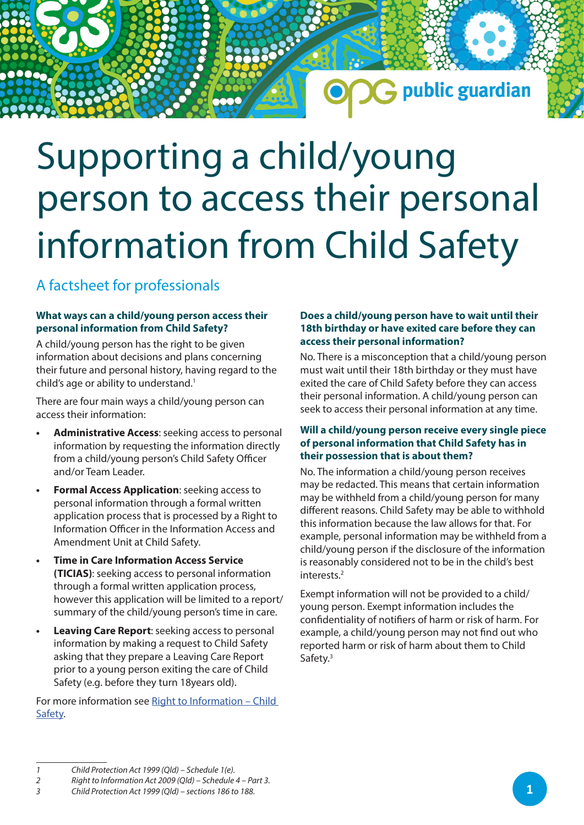## G public guardian

# Supporting a child/young person to access their personal information from Child Safety

### A factsheet for professionals

#### **What ways can a child/young person access their personal information from Child Safety?**

A child/young person has the right to be given information about decisions and plans concerning their future and personal history, having regard to the child's age or ability to understand.<sup>1</sup>

There are four main ways a child/young person can access their information:

- **• Administrative Access**: seeking access to personal information by requesting the information directly from a child/young person's Child Safety Officer and/or Team Leader.
- **• Formal Access Application**: seeking access to personal information through a formal written application process that is processed by a Right to Information Officer in the Information Access and Amendment Unit at Child Safety.
- **• Time in Care Information Access Service (TICIAS)**: seeking access to personal information through a formal written application process, however this application will be limited to a report/ summary of the child/young person's time in care.
- **• Leaving Care Report**: seeking access to personal information by making a request to Child Safety asking that they prepare a Leaving Care Report prior to a young person exiting the care of Child Safety (e.g. before they turn 18years old).

For more information see Right to Information - Child [Safety.](https://www.csyw.qld.gov.au/about-us/right-information)

#### **Does a child/young person have to wait until their 18th birthday or have exited care before they can access their personal information?**

No. There is a misconception that a child/young person must wait until their 18th birthday or they must have exited the care of Child Safety before they can access their personal information. A child/young person can seek to access their personal information at any time.

#### **Will a child/young person receive every single piece of personal information that Child Safety has in their possession that is about them?**

No. The information a child/young person receives may be redacted. This means that certain information may be withheld from a child/young person for many different reasons. Child Safety may be able to withhold this information because the law allows for that. For example, personal information may be withheld from a child/young person if the disclosure of the information is reasonably considered not to be in the child's best interests.2

Exempt information will not be provided to a child/ young person. Exempt information includes the confidentiality of notifiers of harm or risk of harm. For example, a child/young person may not find out who reported harm or risk of harm about them to Child Safety.3

*<sup>1</sup> Child Protection Act 1999 (Qld) – Schedule 1(e).*

*<sup>2</sup> Right to Information Act 2009 (Qld) – Schedule 4 – Part 3.*

*<sup>3</sup> Child Protection Act 1999 (Qld) – sections 186 to 188.*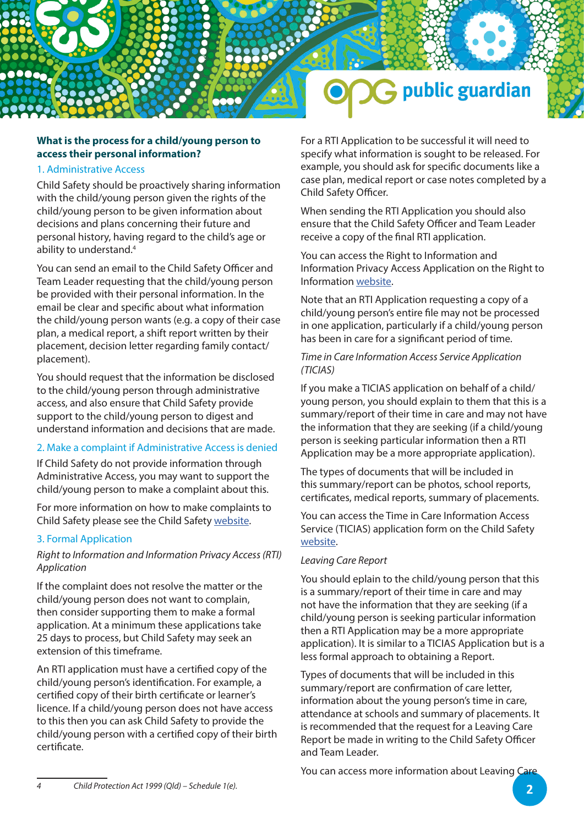

#### **What is the process for a child/young person to access their personal information?**

#### 1. Administrative Access

Child Safety should be proactively sharing information with the child/young person given the rights of the child/young person to be given information about decisions and plans concerning their future and personal history, having regard to the child's age or ability to understand.4

You can send an email to the Child Safety Officer and Team Leader requesting that the child/young person be provided with their personal information. In the email be clear and specific about what information the child/young person wants (e.g. a copy of their case plan, a medical report, a shift report written by their placement, decision letter regarding family contact/ placement).

You should request that the information be disclosed to the child/young person through administrative access, and also ensure that Child Safety provide support to the child/young person to digest and understand information and decisions that are made.

#### 2. Make a complaint if Administrative Access is denied

If Child Safety do not provide information through Administrative Access, you may want to support the child/young person to make a complaint about this.

For more information on how to make complaints to Child Safety please see the Child Safety [website.](https://www.csyw.qld.gov.au/contact-us/compliments-complaints)

#### 3. Formal Application

#### *Right to Information and Information Privacy Access (RTI) Application*

If the complaint does not resolve the matter or the child/young person does not want to complain, then consider supporting them to make a formal application. At a minimum these applications take 25 days to process, but Child Safety may seek an extension of this timeframe.

An RTI application must have a certified copy of the child/young person's identification. For example, a certified copy of their birth certificate or learner's licence. If a child/young person does not have access to this then you can ask Child Safety to provide the child/young person with a certified copy of their birth certificate.

For a RTI Application to be successful it will need to specify what information is sought to be released. For example, you should ask for specific documents like a case plan, medical report or case notes completed by a Child Safety Officer.

When sending the RTI Application you should also ensure that the Child Safety Officer and Team Leader receive a copy of the final RTI application.

You can access the Right to Information and Information Privacy Access Application on the Right to Information [website.](https://www.rti.qld.gov.au/__data/assets/pdf_file/0005/133277/RTI-Access-App-form.pdf)

Note that an RTI Application requesting a copy of a child/young person's entire file may not be processed in one application, particularly if a child/young person has been in care for a significant period of time.

#### *Time in Care Information Access Service Application (TICIAS)*

If you make a TICIAS application on behalf of a child/ young person, you should explain to them that this is a summary/report of their time in care and may not have the information that they are seeking (if a child/young person is seeking particular information then a RTI Application may be a more appropriate application).

The types of documents that will be included in this summary/report can be photos, school reports, certificates, medical reports, summary of placements.

You can access the Time in Care Information Access Service (TICIAS) application form on the Child Safety [website](https://www.csyw.qld.gov.au/resources/dcsyw/about-us/right-to-information/ticias-application-form.pdf).

#### *Leaving Care Report*

You should eplain to the child/young person that this is a summary/report of their time in care and may not have the information that they are seeking (if a child/young person is seeking particular information then a RTI Application may be a more appropriate application). It is similar to a TICIAS Application but is a less formal approach to obtaining a Report.

Types of documents that will be included in this summary/report are confirmation of care letter, information about the young person's time in care, attendance at schools and summary of placements. It is recommended that the request for a Leaving Care Report be made in writing to the Child Safety Officer and Team Leader.

You can access more information about Leaving Care